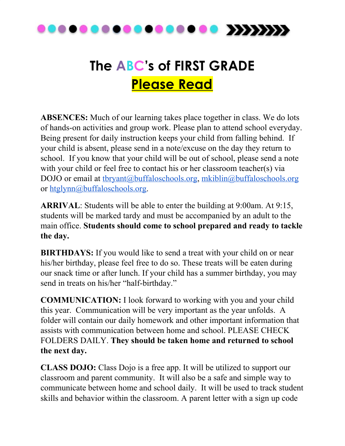

## **The ABC's of FIRST GRADE Please Read**

**ABSENCES:** Much of our learning takes place together in class. We do lots of hands-on activities and group work. Please plan to attend school everyday. Being present for daily instruction keeps your child from falling behind. If your child is absent, please send in a note/excuse on the day they return to school. If you know that your child will be out of school, please send a note with your child or feel free to contact his or her classroom teacher(s) via DOJO or email at thryant@buffaloschools.org, [mkiblin@buffaloschools.org](mailto:mkiblin@buffaloschools.org) or [htglynn@buffaloschools.org.](mailto:htglynn@buffaloschools.org)

**ARRIVAL**: Students will be able to enter the building at 9:00am. At 9:15, students will be marked tardy and must be accompanied by an adult to the main office. **Students should come to school prepared and ready to tackle the day.**

**BIRTHDAYS:** If you would like to send a treat with your child on or near his/her birthday, please feel free to do so. These treats will be eaten during our snack time or after lunch. If your child has a summer birthday, you may send in treats on his/her "half-birthday."

**COMMUNICATION:** I look forward to working with you and your child this year. Communication will be very important as the year unfolds. A folder will contain our daily homework and other important information that assists with communication between home and school. PLEASE CHECK FOLDERS DAILY. **They should be taken home and returned to school the next day.**

**CLASS DOJO:** Class Dojo is a free app. It will be utilized to support our classroom and parent community. It will also be a safe and simple way to communicate between home and school daily. It will be used to track student skills and behavior within the classroom. A parent letter with a sign up code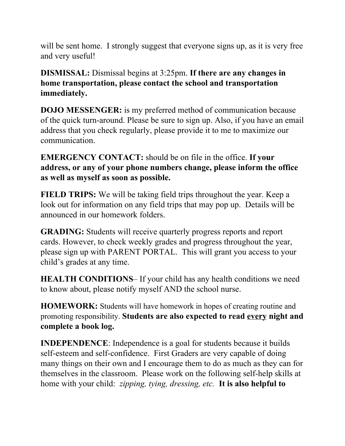will be sent home. I strongly suggest that everyone signs up, as it is very free and very useful!

**DISMISSAL:** Dismissal begins at 3:25pm. **If there are any changes in home transportation, please contact the school and transportation immediately.**

**DOJO MESSENGER:** is my preferred method of communication because of the quick turn-around. Please be sure to sign up. Also, if you have an email address that you check regularly, please provide it to me to maximize our communication.

**EMERGENCY CONTACT:** should be on file in the office. **If your address, or any of your phone numbers change, please inform the office as well as myself as soon as possible.**

**FIELD TRIPS:** We will be taking field trips throughout the year. Keep a look out for information on any field trips that may pop up. Details will be announced in our homework folders.

**GRADING:** Students will receive quarterly progress reports and report cards. However, to check weekly grades and progress throughout the year, please sign up with PARENT PORTAL. This will grant you access to your child's grades at any time.

**HEALTH CONDITIONS**– If your child has any health conditions we need to know about, please notify myself AND the school nurse.

**HOMEWORK:** Students will have homework in hopes of creating routine and promoting responsibility. **Students are also expected to read every night and complete a book log.**

**INDEPENDENCE**: Independence is a goal for students because it builds self-esteem and self-confidence. First Graders are very capable of doing many things on their own and I encourage them to do as much as they can for themselves in the classroom. Please work on the following self-help skills at home with your child: *zipping, tying, dressing, etc.* **It is also helpful to**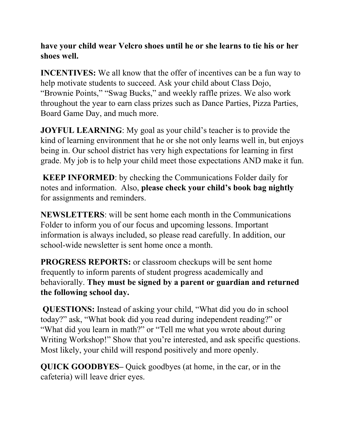**have your child wear Velcro shoes until he or she learns to tie his or her shoes well.**

**INCENTIVES:** We all know that the offer of incentives can be a fun way to help motivate students to succeed. Ask your child about Class Dojo, "Brownie Points," "Swag Bucks," and weekly raffle prizes. We also work throughout the year to earn class prizes such as Dance Parties, Pizza Parties, Board Game Day, and much more.

**JOYFUL LEARNING**: My goal as your child's teacher is to provide the kind of learning environment that he or she not only learns well in, but enjoys being in. Our school district has very high expectations for learning in first grade. My job is to help your child meet those expectations AND make it fun.

**KEEP INFORMED**: by checking the Communications Folder daily for notes and information. Also, **please check your child's book bag nightly** for assignments and reminders.

**NEWSLETTERS**: will be sent home each month in the Communications Folder to inform you of our focus and upcoming lessons. Important information is always included, so please read carefully. In addition, our school-wide newsletter is sent home once a month.

**PROGRESS REPORTS:** or classroom checkups will be sent home frequently to inform parents of student progress academically and behaviorally. **They must be signed by a parent or guardian and returned the following school day.**

**QUESTIONS:** Instead of asking your child, "What did you do in school today?" ask, "What book did you read during independent reading?" or "What did you learn in math?" or "Tell me what you wrote about during Writing Workshop!" Show that you're interested, and ask specific questions. Most likely, your child will respond positively and more openly.

**QUICK GOODBYES–** Quick goodbyes (at home, in the car, or in the cafeteria) will leave drier eyes.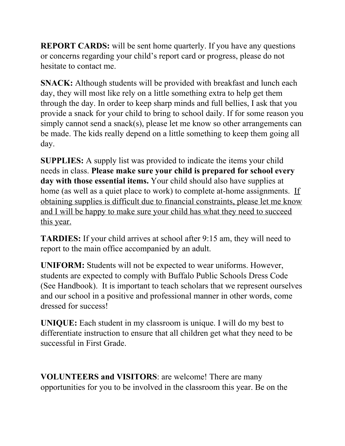**REPORT CARDS:** will be sent home quarterly. If you have any questions or concerns regarding your child's report card or progress, please do not hesitate to contact me.

**SNACK:** Although students will be provided with breakfast and lunch each day, they will most like rely on a little something extra to help get them through the day. In order to keep sharp minds and full bellies, I ask that you provide a snack for your child to bring to school daily. If for some reason you simply cannot send a snack(s), please let me know so other arrangements can be made. The kids really depend on a little something to keep them going all day.

**SUPPLIES:** A supply list was provided to indicate the items your child needs in class. **Please make sure your child is prepared for school every day with those essential items.** Your child should also have supplies at home (as well as a quiet place to work) to complete at-home assignments. If obtaining supplies is difficult due to financial constraints, please let me know and I will be happy to make sure your child has what they need to succeed this year.

**TARDIES:** If your child arrives at school after 9:15 am, they will need to report to the main office accompanied by an adult.

**UNIFORM:** Students will not be expected to wear uniforms. However, students are expected to comply with Buffalo Public Schools Dress Code (See Handbook). It is important to teach scholars that we represent ourselves and our school in a positive and professional manner in other words, come dressed for success!

**UNIQUE:** Each student in my classroom is unique. I will do my best to differentiate instruction to ensure that all children get what they need to be successful in First Grade.

**VOLUNTEERS and VISITORS**: are welcome! There are many opportunities for you to be involved in the classroom this year. Be on the